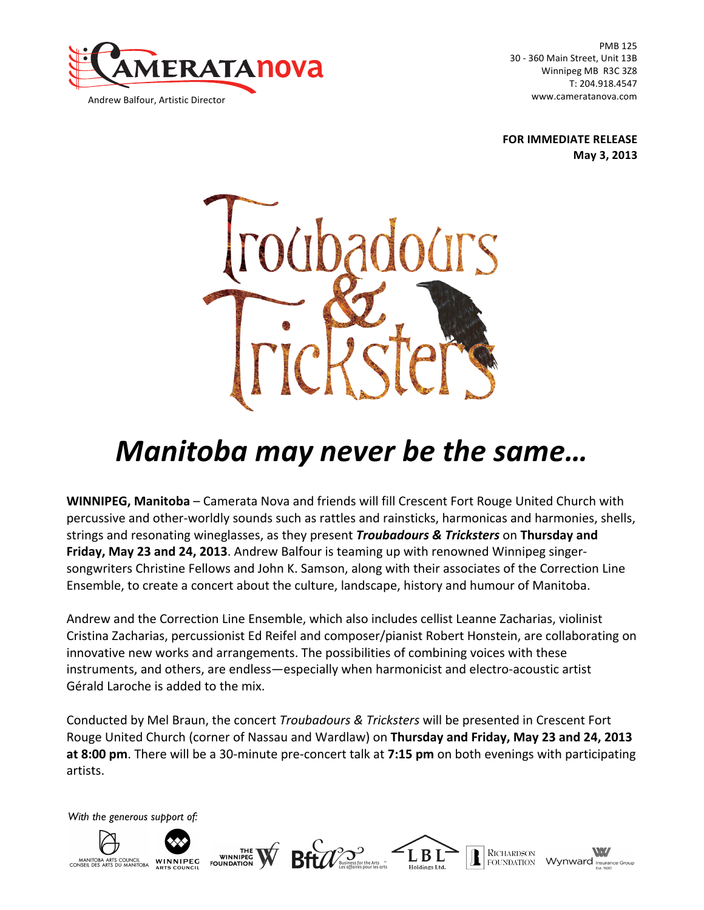

PMB 125 30 - 360 Main Street, Unit 13B Winnipeg MB R3C 3Z8 T: 204.918.4547 www.cameratanova.com

**FOR IMMEDIATE RELEASE May 3, 2013**



# *Manitoba may never be the same…*

**WINNIPEG, Manitoba** – Camerata Nova and friends will fill Crescent Fort Rouge United Church with percussive and other-worldly sounds such as rattles and rainsticks, harmonicas and harmonies, shells, strings and resonating wineglasses, as they present *Troubadours & Tricksters* on Thursday and **Friday, May 23 and 24, 2013.** Andrew Balfour is teaming up with renowned Winnipeg singersongwriters Christine Fellows and John K. Samson, along with their associates of the Correction Line Ensemble, to create a concert about the culture, landscape, history and humour of Manitoba.

Andrew and the Correction Line Ensemble, which also includes cellist Leanne Zacharias, violinist Cristina Zacharias, percussionist Ed Reifel and composer/pianist Robert Honstein, are collaborating on innovative new works and arrangements. The possibilities of combining voices with these instruments, and others, are endless-especially when harmonicist and electro-acoustic artist Gérald Laroche is added to the mix.

Conducted by Mel Braun, the concert *Troubadours & Tricksters* will be presented in Crescent Fort Rouge United Church (corner of Nassau and Wardlaw) on Thursday and Friday, May 23 and 24, 2013 **at 8:00 pm**. There will be a 30-minute pre-concert talk at 7:15 pm on both evenings with participating artists.

*With the generous support of:*

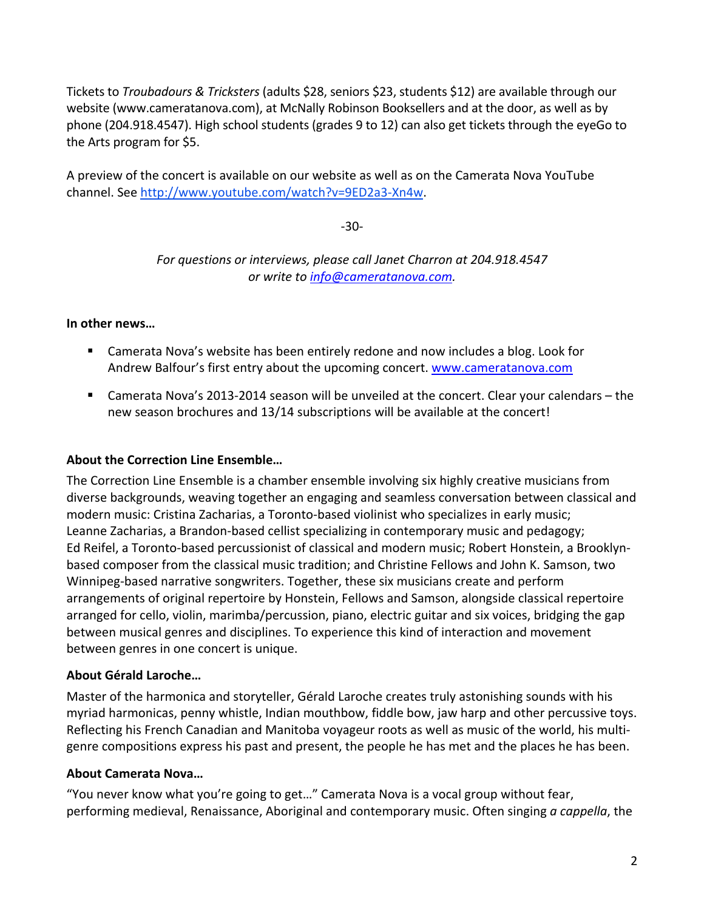Tickets to *Troubadours & Tricksters* (adults \$28, seniors \$23, students \$12) are available through our website (www.cameratanova.com), at McNally Robinson Booksellers and at the door, as well as by phone (204.918.4547). High school students (grades 9 to 12) can also get tickets through the eyeGo to the Arts program for \$5.

A preview of the concert is available on our website as well as on the Camerata Nova YouTube channel. See http://www.youtube.com/watch?v=9ED2a3-Xn4w.

-30-

For questions or interviews, please call Janet Charron at 204.918.4547 *or write to info@cameratanova.com.*

#### In other news...

- Camerata Nova's website has been entirely redone and now includes a blog. Look for Andrew Balfour's first entry about the upcoming concert. www.cameratanova.com
- **E** Camerata Nova's 2013-2014 season will be unveiled at the concert. Clear your calendars the new season brochures and 13/14 subscriptions will be available at the concert!

## **About the Correction Line Ensemble...**

The Correction Line Ensemble is a chamber ensemble involving six highly creative musicians from diverse backgrounds, weaving together an engaging and seamless conversation between classical and modern music: Cristina Zacharias, a Toronto-based violinist who specializes in early music; Leanne Zacharias, a Brandon-based cellist specializing in contemporary music and pedagogy; Ed Reifel, a Toronto-based percussionist of classical and modern music; Robert Honstein, a Brooklynbased composer from the classical music tradition; and Christine Fellows and John K. Samson, two Winnipeg-based narrative songwriters. Together, these six musicians create and perform arrangements of original repertoire by Honstein, Fellows and Samson, alongside classical repertoire arranged for cello, violin, marimba/percussion, piano, electric guitar and six voices, bridging the gap between musical genres and disciplines. To experience this kind of interaction and movement between genres in one concert is unique.

## **About Gérald Laroche…**

Master of the harmonica and storyteller, Gérald Laroche creates truly astonishing sounds with his myriad harmonicas, penny whistle, Indian mouthbow, fiddle bow, jaw harp and other percussive toys. Reflecting his French Canadian and Manitoba voyageur roots as well as music of the world, his multigenre compositions express his past and present, the people he has met and the places he has been.

#### **About Camerata Nova…**

"You never know what you're going to get..." Camerata Nova is a vocal group without fear, performing medieval, Renaissance, Aboriginal and contemporary music. Often singing *a cappella*, the